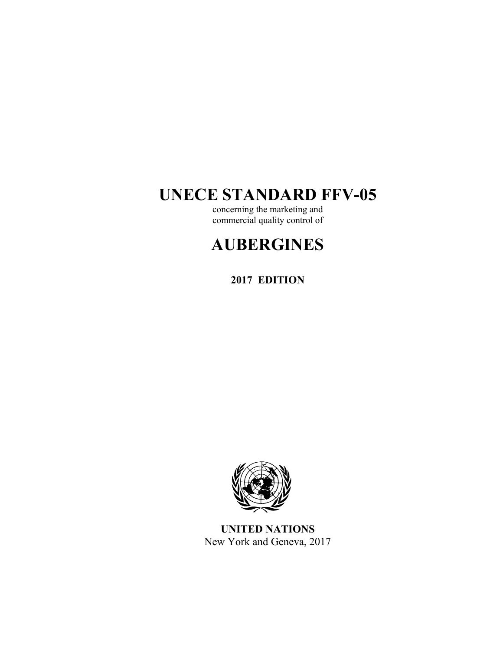# **UNECE STANDARD FFV-05**

concerning the marketing and commercial quality control of

# **AUBERGINES**

**2017 EDITION** 



**UNITED NATIONS**  New York and Geneva, 2017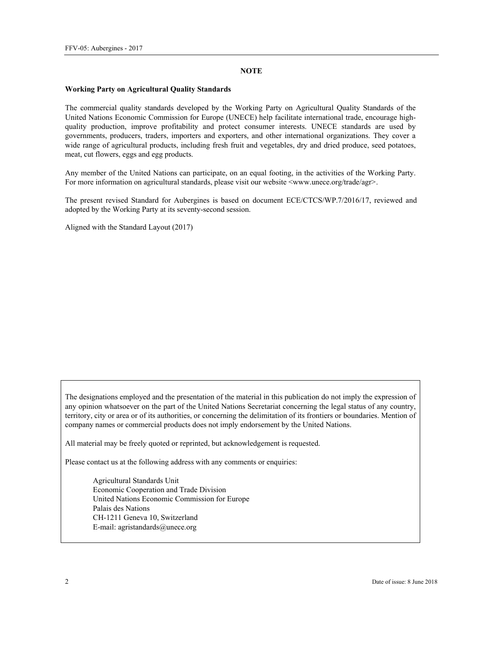#### **NOTE**

#### **Working Party on Agricultural Quality Standards**

The commercial quality standards developed by the Working Party on Agricultural Quality Standards of the United Nations Economic Commission for Europe (UNECE) help facilitate international trade, encourage highquality production, improve profitability and protect consumer interests. UNECE standards are used by governments, producers, traders, importers and exporters, and other international organizations. They cover a wide range of agricultural products, including fresh fruit and vegetables, dry and dried produce, seed potatoes, meat, cut flowers, eggs and egg products.

Any member of the United Nations can participate, on an equal footing, in the activities of the Working Party. For more information on agricultural standards, please visit our website <www.unece.org/trade/agr>.

The present revised Standard for Aubergines is based on document ECE/CTCS/WP.7/2016/17, reviewed and adopted by the Working Party at its seventy-second session.

Aligned with the Standard Layout (2017)

The designations employed and the presentation of the material in this publication do not imply the expression of any opinion whatsoever on the part of the United Nations Secretariat concerning the legal status of any country, territory, city or area or of its authorities, or concerning the delimitation of its frontiers or boundaries. Mention of company names or commercial products does not imply endorsement by the United Nations.

All material may be freely quoted or reprinted, but acknowledgement is requested.

Please contact us at the following address with any comments or enquiries:

Agricultural Standards Unit Economic Cooperation and Trade Division United Nations Economic Commission for Europe Palais des Nations CH-1211 Geneva 10, Switzerland E-mail: agristandards@unece.org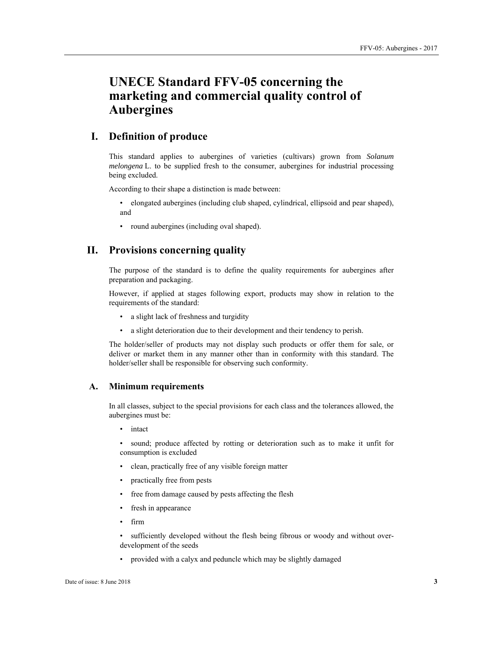# **UNECE Standard FFV-05 concerning the marketing and commercial quality control of Aubergines**

# **I. Definition of produce**

This standard applies to aubergines of varieties (cultivars) grown from *Solanum melongena* L. to be supplied fresh to the consumer, aubergines for industrial processing being excluded.

According to their shape a distinction is made between:

• elongated aubergines (including club shaped, cylindrical, ellipsoid and pear shaped), and

• round aubergines (including oval shaped).

# **II. Provisions concerning quality**

The purpose of the standard is to define the quality requirements for aubergines after preparation and packaging.

However, if applied at stages following export, products may show in relation to the requirements of the standard:

- a slight lack of freshness and turgidity
- a slight deterioration due to their development and their tendency to perish.

The holder/seller of products may not display such products or offer them for sale, or deliver or market them in any manner other than in conformity with this standard. The holder/seller shall be responsible for observing such conformity.

## **A. Minimum requirements**

In all classes, subject to the special provisions for each class and the tolerances allowed, the aubergines must be:

• intact

sound; produce affected by rotting or deterioration such as to make it unfit for consumption is excluded

- clean, practically free of any visible foreign matter
- practically free from pests
- free from damage caused by pests affecting the flesh
- fresh in appearance
- firm

• sufficiently developed without the flesh being fibrous or woody and without overdevelopment of the seeds

• provided with a calyx and peduncle which may be slightly damaged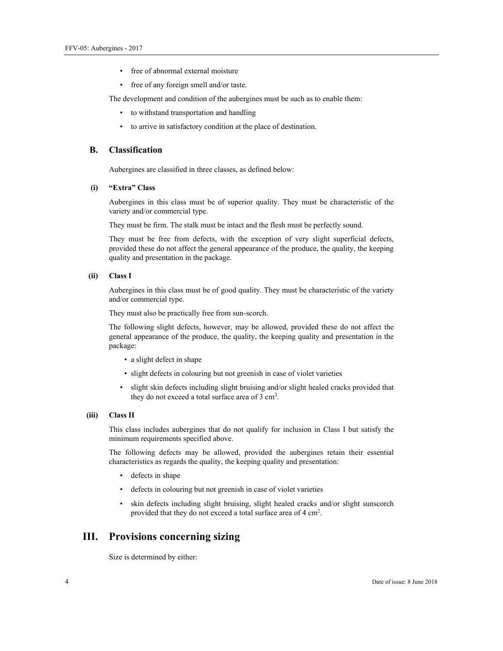- free of abnormal external moisture
- free of any foreign smell and/or taste.

The development and condition of the aubergines must be such as to enable them:

- to withstand transportation and handling
- to arrive in satisfactory condition at the place of destination.

#### **B. Classification**

Aubergines are classified in three classes, as defined below:

#### **(i) "Extra" Class**

Aubergines in this class must be of superior quality. They must be characteristic of the variety and/or commercial type.

They must be firm. The stalk must be intact and the flesh must be perfectly sound.

They must be free from defects, with the exception of very slight superficial defects, provided these do not affect the general appearance of the produce, the quality, the keeping quality and presentation in the package.

 **(ii) Class I** 

Aubergines in this class must be of good quality. They must be characteristic of the variety and/or commercial type.

They must also be practically free from sun-scorch.

The following slight defects, however, may be allowed, provided these do not affect the general appearance of the produce, the quality, the keeping quality and presentation in the package:

- a slight defect in shape
- slight defects in colouring but not greenish in case of violet varieties
- slight skin defects including slight bruising and/or slight healed cracks provided that they do not exceed a total surface area of 3 cm<sup>2</sup>.

#### **(iii) Class II**

This class includes aubergines that do not qualify for inclusion in Class I but satisfy the minimum requirements specified above.

The following defects may be allowed, provided the aubergines retain their essential characteristics as regards the quality, the keeping quality and presentation:

- defects in shape
- defects in colouring but not greenish in case of violet varieties
- skin defects including slight bruising, slight healed cracks and/or slight sunscorch provided that they do not exceed a total surface area of 4 cm<sup>2</sup>.

## **III. Provisions concerning sizing**

Size is determined by either: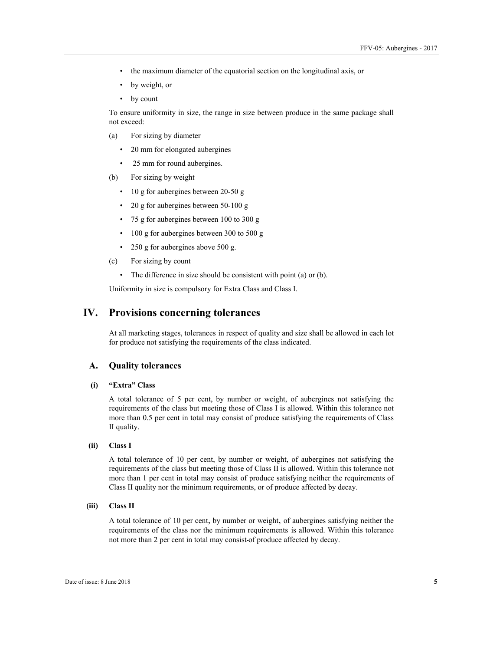- the maximum diameter of the equatorial section on the longitudinal axis, or
- by weight, or
- by count

To ensure uniformity in size, the range in size between produce in the same package shall not exceed:

- (a) For sizing by diameter
	- 20 mm for elongated aubergines
	- 25 mm for round aubergines.
- (b) For sizing by weight
	- 10 g for aubergines between 20-50 g
	- 20 g for aubergines between 50-100 g
	- 75 g for aubergines between 100 to 300 g
	- 100 g for aubergines between 300 to 500 g
	- 250 g for aubergines above 500 g.
- (c) For sizing by count
	- The difference in size should be consistent with point (a) or (b).

Uniformity in size is compulsory for Extra Class and Class I.

## **IV. Provisions concerning tolerances**

At all marketing stages, tolerances in respect of quality and size shall be allowed in each lot for produce not satisfying the requirements of the class indicated.

#### **A. Quality tolerances**

#### **(i) "Extra" Class**

A total tolerance of 5 per cent, by number or weight, of aubergines not satisfying the requirements of the class but meeting those of Class I is allowed. Within this tolerance not more than 0.5 per cent in total may consist of produce satisfying the requirements of Class II quality.

#### **(ii) Class I**

A total tolerance of 10 per cent, by number or weight, of aubergines not satisfying the requirements of the class but meeting those of Class II is allowed. Within this tolerance not more than 1 per cent in total may consist of produce satisfying neither the requirements of Class II quality nor the minimum requirements, or of produce affected by decay.

#### **(iii) Class II**

A total tolerance of 10 per cent, by number or weight, of aubergines satisfying neither the requirements of the class nor the minimum requirements is allowed. Within this tolerance not more than 2 per cent in total may consist of produce affected by decay.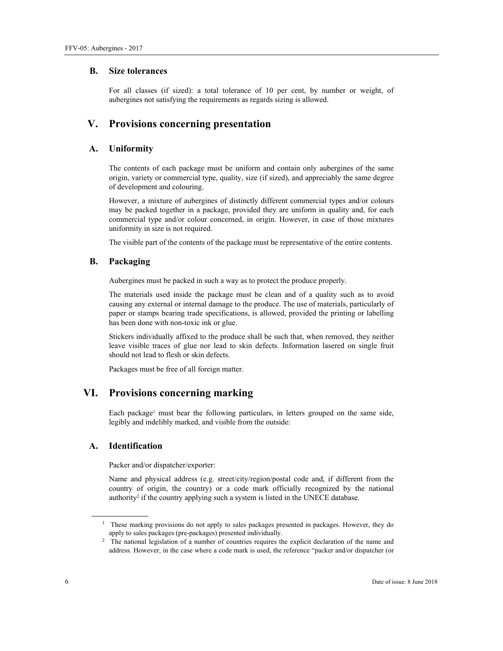#### **B. Size tolerances**

For all classes (if sized): a total tolerance of 10 per cent, by number or weight, of aubergines not satisfying the requirements as regards sizing is allowed.

# **V. Provisions concerning presentation**

## **A. Uniformity**

The contents of each package must be uniform and contain only aubergines of the same origin, variety or commercial type, quality, size (if sized), and appreciably the same degree of development and colouring.

However, a mixture of aubergines of distinctly different commercial types and/or colours may be packed together in a package, provided they are uniform in quality and, for each commercial type and/or colour concerned, in origin. However, in case of those mixtures uniformity in size is not required.

The visible part of the contents of the package must be representative of the entire contents.

## **B. Packaging**

Aubergines must be packed in such a way as to protect the produce properly.

The materials used inside the package must be clean and of a quality such as to avoid causing any external or internal damage to the produce. The use of materials, particularly of paper or stamps bearing trade specifications, is allowed, provided the printing or labelling has been done with non-toxic ink or glue.

Stickers individually affixed to the produce shall be such that, when removed, they neither leave visible traces of glue nor lead to skin defects. Information lasered on single fruit should not lead to flesh or skin defects.

Packages must be free of all foreign matter.

# **VI. Provisions concerning marking**

Each package<sup>1</sup> must bear the following particulars, in letters grouped on the same side, legibly and indelibly marked, and visible from the outside:

## **A. Identification**

Packer and/or dispatcher/exporter:

Name and physical address (e.g. street/city/region/postal code and, if different from the country of origin, the country) or a code mark officially recognized by the national authority<sup>2</sup> if the country applying such a system is listed in the UNECE database.

 $\overline{a}$ 

<sup>&</sup>lt;sup>1</sup> These marking provisions do not apply to sales packages presented in packages. However, they do apply to sales packages (pre-packages) presented individually. 2

<sup>&</sup>lt;sup>2</sup> The national legislation of a number of countries requires the explicit declaration of the name and address. However, in the case where a code mark is used, the reference "packer and/or dispatcher (or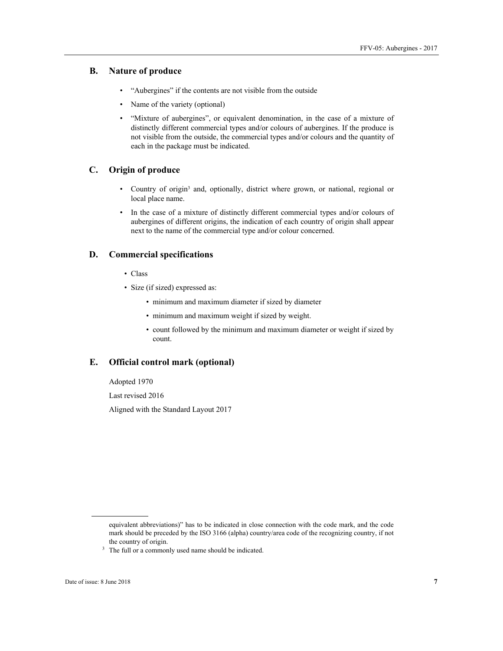### **B. Nature of produce**

- "Aubergines" if the contents are not visible from the outside
- Name of the variety (optional)
- "Mixture of aubergines", or equivalent denomination, in the case of a mixture of distinctly different commercial types and/or colours of aubergines. If the produce is not visible from the outside, the commercial types and/or colours and the quantity of each in the package must be indicated.

### **C. Origin of produce**

- Country of origin3 and, optionally, district where grown, or national, regional or local place name.
- In the case of a mixture of distinctly different commercial types and/or colours of aubergines of different origins, the indication of each country of origin shall appear next to the name of the commercial type and/or colour concerned.

## **D. Commercial specifications**

- Class
- Size (if sized) expressed as:
	- minimum and maximum diameter if sized by diameter
	- minimum and maximum weight if sized by weight.
	- count followed by the minimum and maximum diameter or weight if sized by count.

#### **E. Official control mark (optional)**

Adopted 1970

Last revised 2016

Aligned with the Standard Layout 2017

 $\overline{a}$ 

equivalent abbreviations)" has to be indicated in close connection with the code mark, and the code mark should be preceded by the ISO 3166 (alpha) country/area code of the recognizing country, if not

the country of origin.<br> $3$  The full or a commonly used name should be indicated.